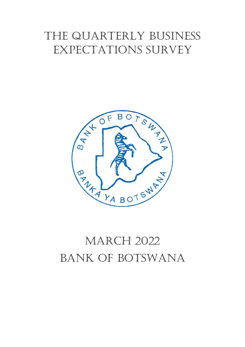## the quarterly business expectations survey



# **MARCH 2022** BANK OF BOTSWANA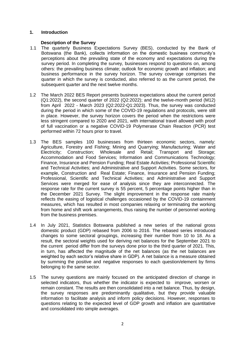#### **1. Introduction**

#### **Description of the Survey**

- 1.1 The quarterly Business Expectations Survey (BES), conducted by the Bank of Botswana (the Bank), collects information on the domestic business community's perceptions about the prevailing state of the economy and expectations during the survey period. In completing the survey, businesses respond to questions on, among others: the prevailing business climate; outlook for economic growth and inflation; and business performance in the survey horizon. The survey coverage comprises the quarter in which the survey is conducted, also referred to as the current period, the subsequent quarter and the next twelve months.
- 1.2 The March 2022 BES Report presents business expectations about the current period (Q1:2022), the second quarter of 2022 (Q2:2022); and the twelve-month period (M12) from April 2022 - March 2023 (Q2:2022-Q1:2023). Thus, the survey was conducted during the period in which some of the COVID-19 regulations and protocols, were still in place. However, the survey horizon covers the period when the restrictions were less stringent compared to 2020 and 2021, with international travel allowed with proof of full vaccination or a negative COVID-19 Polymerase Chain Reaction (PCR) test performed within 72 hours prior to travel.
- 1.3 The BES samples 100 businesses from thirteen economic sectors, namely: Agriculture, Forestry and Fishing; Mining and Quarrying; Manufacturing; Water and Electricity; Construction; Wholesale and Retail; Transport and Storage; Accommodation and Food Services; Information and Communications Technology; Finance, Insurance and Pension Funding; Real Estate Activities; Professional Scientific and Technical Activities; and Administrative and Support Activities. Some sectors, for example, Construction and Real Estate; Finance, Insurance and Pension Funding; Professional, Scientific and Technical Activities; and Administrative and Support Services were merged for ease of analysis since they are interconnected. The response rate for the current survey is 55 percent, 5 percentage points higher than in the December 2021 Survey. The slight improvement in the response rate mainly reflects the easing of logistical challenges occasioned by the COVID-19 containment measures, which has resulted in most companies relaxing or terminating the working from home and shift work arrangements, thus raising the number of personnel working from the business premises.
- 1.4 In July 2021, Statistics Botswana published a new series of the national gross domestic product (GDP) rebased from 2006 to 2016. The rebased series introduced changes to some sectoral groupings, increasing their number from 10 to 18. As a result, the sectoral weights used for deriving net balances for the September 2021 to the current period differ from the surveys done prior to the third quarter of 2021. This, in turn, has affected the magnitude of the net balances (as the net balances are weighted by each sector's relative share in GDP). A net balance is a measure obtained by summing the positive and negative responses to each question/element by firms belonging to the same sector.
- 1.5 The survey questions are mainly focused on the anticipated direction of change in selected indicators, thus whether the indicator is expected to improve, worsen or remain constant. The results are then consolidated into a net balance. Thus, by design, the survey responses are predominantly qualitative, but they provide valuable information to facilitate analysis and inform policy decisions. However, responses to questions relating to the expected level of GDP growth and inflation are quantitative and consolidated into simple averages.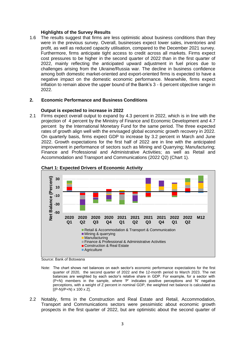#### **Highlights of the Survey Results**

1.6 The results suggest that firms are less optimistic about business conditions than they were in the previous survey. Overall, businesses expect lower sales, inventories and profit, as well as reduced capacity utilisation, compared to the December 2021 survey. Furthermore, firms anticipate tight access to credit across all markets. Firms expect cost pressures to be higher in the second quarter of 2022 than in the first quarter of 2022, mainly reflecting the anticipated upward adjustment in fuel prices due to challenges arising from the Ukraine/Russia war. The decline in business confidence among both domestic market-oriented and export-oriented firms is expected to have a negative impact on the domestic economic performance. Meanwhile, firms expect inflation to remain above the upper bound of the Bank's 3 - 6 percent objective range in 2022.

#### **2. Economic Performance and Business Conditions**

#### **Output is expected to increase in 2022**

2.1 Firms expect overall output to expand by 4.3 percent in 2022, which is in line with the projection of 4 percent by the Ministry of Finance and Economic Development and 4.7 percent by the International Monetary Fund for the same period. The three expected rates of growth align well with the envisaged global economic growth recovery in 2022. On quarterly basis, firms expect GDP to increase by 3.2 percent in March and June 2022. Growth expectations for the first half of 2022 are in line with the anticipated improvement in performance of sectors such as Mining and Quarrying; Manufacturing; Finance and Professional and Administrative Activities; as well as Retail and Accommodation and Transport and Communications (2022 Q2) (Chart 1).



#### **Chart 1: Expected Drivers of Economic Activity**

Source: Bank of Botswana

- Note: The chart shows net balances on each sector's economic performance expectations for the first quarter of 2020, the second quarter of 2022 and the 12-month period to March 2023. The net balances are weighted by each sector's relative share in GDP. For example, for a sector with (P+N) members in the sample, where 'P' indicates positive perceptions and 'N' negative perceptions, with a weight of Z percent in nominal GDP, the weighted net balance is calculated as  $[(P-N)/P+N] \times 100 \times Z$ ].
- 2.2 Notably, firms in the Construction and Real Estate and Retail, Accommodation, Transport and Communications sectors were pessimistic about economic growth prospects in the first quarter of 2022, but are optimistic about the second quarter of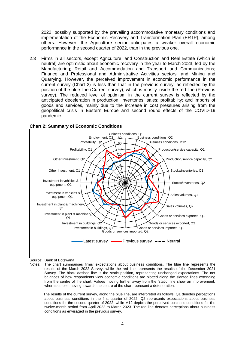2022, possibly supported by the prevailing accommodative monetary conditions and implementation of the Economic Recovery and Transformation Plan (ERTP), among others. However, the Agriculture sector anticipates a weaker overall economic performance in the second quarter of 2022, than in the previous one.

2.3 Firms in all sectors, except Agriculture; and Construction and Real Estate (which is neutral) are optimistic about economic recovery in the year to March 2023, led by the Manufacturing; Retail and Accommodation and Transport and Communications; Finance and Professional and Administrative Activities sectors; and Mining and Quarrying. However, the perceived improvement in economic performance in the current survey (Chart 2) is less than that in the previous survey, as reflected by the position of the blue line (Current survey), which is mostly inside the red line (Previous survey). The reduced level of optimism in the current survey is reflected by the anticipated deceleration in production; inventories; sales; profitability; and imports of goods and services, mainly due to the increase in cost pressures arising from the geopolitical crisis in Eastern Europe and second round effects of the COVID-19 pandemic.



## **Chart 2: Summary of Economic Conditions**

Source: Bank of Botswana

Notes: The chart summarises firms' expectations about business conditions. The blue line represents the results of the March 2022 Survey, while the red line represents the results of the December 2021 Survey. The black dashed line is the static position, representing unchanged expectations. The net balances of how respondents view economic conditions are plotted along the slanted lines extending from the centre of the chart. Values moving further away from the 'static' line show an improvement, whereas those moving towards the centre of the chart represent a deterioration.

 The results of the current survey, along the blue line, are interpreted as follows: Q1 denotes perceptions about business conditions in the first quarter of 2022, Q2 represents expectations about business conditions for the second quarter of 2022, while M12 depicts the perceived business conditions for the twelve-month period from April 2022 to March 2023. The red line denotes perceptions about business conditions as envisaged in the previous survey.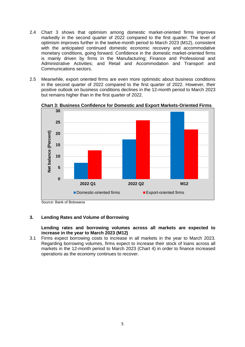- 2.4 Chart 3 shows that optimism among domestic market-oriented firms improves markedly in the second quarter of 2022 compared to the first quarter. The level of optimism improves further in the twelve-month period to March 2023 (M12), consistent with the anticipated continued domestic economic recovery and accommodative monetary conditions, going forward. Confidence in the domestic market-oriented firms is mainly driven by firms in the Manufacturing; Finance and Professional and Administrative Activities; and Retail and Accommodation and Transport and Communications sectors.
- 2.5 Meanwhile, export oriented firms are even more optimistic about business conditions in the second quarter of 2022 compared to the first quarter of 2022. However, their positive outlook on business conditions declines in the 12-month period to March 2023 but remains higher than in the first quarter of 2022.



**Chart 3: Business Confidence for Domestic and Export Markets-Oriented Firms**

## **3. Lending Rates and Volume of Borrowing**

## **Lending rates and borrowing volumes across all markets are expected to increase in the year to March 2023 (M12)**

3.1 Firms expect borrowing costs to increase in all markets in the year to March 2023. Regarding borrowing volumes, firms expect to increase their stock of loans across all markets in the 12-month period to March 2023 (Chart 4) in order to finance increased operations as the economy continues to recover.

Source: Bank of Botswana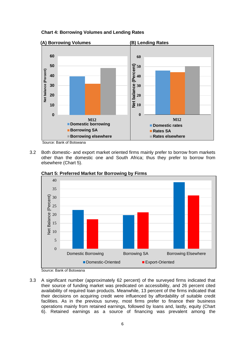**Chart 4: Borrowing Volumes and Lending Rates**



Source: Bank of Botswana

3.2 Both domestic- and export market oriented firms mainly prefer to borrow from markets other than the domestic one and South Africa; thus they prefer to borrow from elsewhere (Chart 5).



**Chart 5: Preferred Market for Borrowing by Firms**

Source: Bank of Botswana

3.3 A significant number (approximately 62 percent) of the surveyed firms indicated that their source of funding market was predicated on accessibility, and 26 percent cited availability of required loan products. Meanwhile, 13 percent of the firms indicated that their decisions on acquiring credit were influenced by affordability of suitable credit facilities. As in the previous survey, most firms prefer to finance their business operations mainly from retained earnings, followed by loans and, lastly, equity (Chart 6). Retained earnings as a source of financing was prevalent among the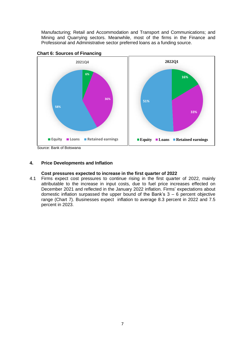Manufacturing; Retail and Accommodation and Transport and Communications; and Mining and Quarrying sectors. Meanwhile, most of the firms in the Finance and Professional and Administrative sector preferred loans as a funding source.





Source: Bank of Botswana

## **4. Price Developments and Inflation**

## **Cost pressures expected to increase in the first quarter of 2022**

4.1 Firms expect cost pressures to continue rising in the first quarter of 2022, mainly attributable to the increase in input costs, due to fuel price increases effected on December 2021 and reflected in the January 2022 inflation. Firms' expectations about domestic inflation surpassed the upper bound of the Bank's  $3 - 6$  percent objective range (Chart 7). Businesses expect inflation to average 8.3 percent in 2022 and 7.5 percent in 2023.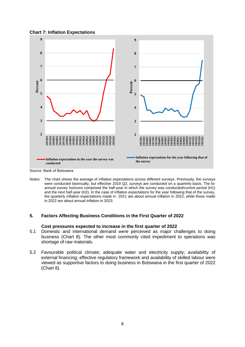#### **Chart 7: Inflation Expectations**



Source: Bank of Botswana

Notes: The chart shows the average of inflation expectations across different surveys. Previously, the surveys were conducted biannually, but effective 2019 Q2, surveys are conducted on a quarterly basis. The biannual survey horizons comprised the half-year in which the survey was conducted/current period (H1) and the next half-year (H2). In the case of inflation expectations for the year following that of the survey, the quarterly inflation expectations made in 2021 are about annual inflation in 2022, while those made in 2022 are about annual inflation in 2023.

## **5. Factors Affecting Business Conditions in the First Quarter of 2022**

#### **Cost pressures expected to increase in the first quarter of 2022**

- 5.1 Domestic and international demand were perceived as major challenges to doing business (Chart 8). The other most commonly cited impediment to operations was shortage of raw materials.
- 5.2 Favourable political climate; adequate water and electricity supply; availability of external financing; effective regulatory framework and availability of skilled labour were viewed as supportive factors to doing business in Botswana in the first quarter of 2022 (Chart 8).